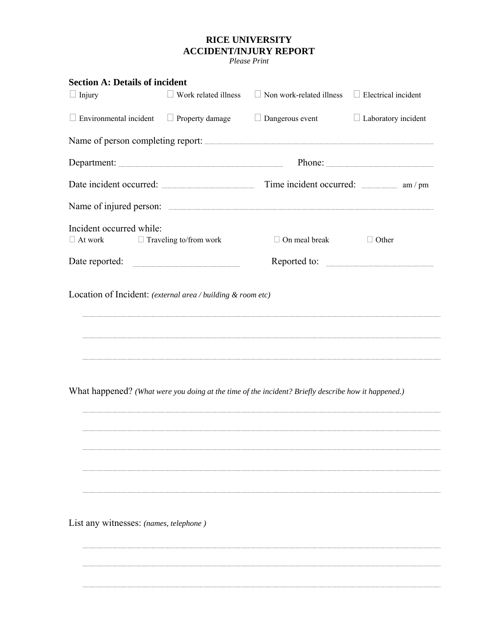## **RICE UNIVERSITY ACCIDENT/INJURY REPORT**

*Please Print* 

| <b>Section A: Details of incident</b>  |                               |                                                                                                     |                            |  |  |  |
|----------------------------------------|-------------------------------|-----------------------------------------------------------------------------------------------------|----------------------------|--|--|--|
| $\Box$ Injury                          | Work related illness          | $\Box$ Non work-related illness                                                                     | $\Box$ Electrical incident |  |  |  |
| $\Box$ Environmental incident          | $\Box$ Property damage        | $\Box$ Dangerous event                                                                              | $\Box$ Laboratory incident |  |  |  |
|                                        |                               | Name of person completing report:                                                                   |                            |  |  |  |
|                                        |                               | Phone:                                                                                              |                            |  |  |  |
|                                        |                               | Date incident occurred: Time incident occurred: am / pm                                             |                            |  |  |  |
|                                        |                               |                                                                                                     |                            |  |  |  |
| Incident occurred while:               |                               |                                                                                                     |                            |  |  |  |
| $\Box$ At work                         | $\Box$ Traveling to/from work | $\Box$ On meal break                                                                                | $\Box$ Other               |  |  |  |
| Date reported:                         |                               | Reported to:                                                                                        |                            |  |  |  |
|                                        |                               | What happened? (What were you doing at the time of the incident? Briefly describe how it happened.) |                            |  |  |  |
| List any witnesses: (names, telephone) |                               |                                                                                                     |                            |  |  |  |
|                                        |                               |                                                                                                     |                            |  |  |  |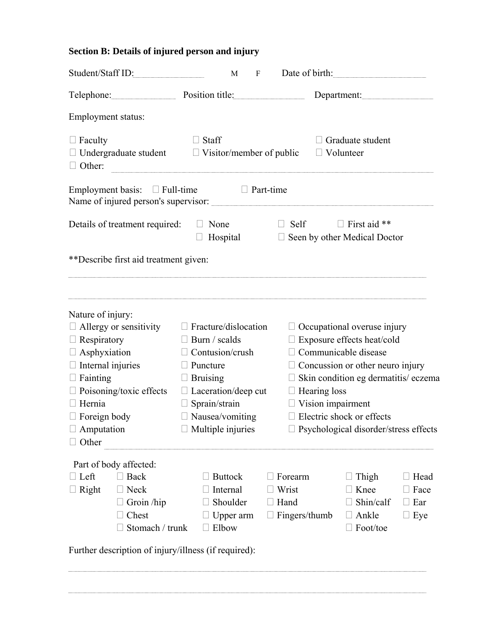## **Section B: Details of injured person and injury**

| Student/Staff ID:                                                                               |                 | $\boldsymbol{\mathrm{F}}$<br>M                      |                | Date of birth:                               |                     |             |  |
|-------------------------------------------------------------------------------------------------|-----------------|-----------------------------------------------------|----------------|----------------------------------------------|---------------------|-------------|--|
| Telephone: Position title: Department: Department:                                              |                 |                                                     |                |                                              |                     |             |  |
| Employment status:                                                                              |                 |                                                     |                |                                              |                     |             |  |
| $\Box$ Faculty<br>$\Box$ Undergraduate student $\Box$ Visitor/member of public<br>$\Box$ Other: |                 | $\Box$ Staff                                        |                | $\Box$ Graduate student<br>$\Box$ Volunteer  |                     |             |  |
| Employment basis: $\Box$ Full-time $\Box$ Part-time                                             |                 |                                                     |                |                                              |                     |             |  |
| Details of treatment required: $\square$ None                                                   |                 | $\Box$ Hospital                                     | $\Box$ Self    | $\Box$ Seen by other Medical Doctor          | $\Box$ First aid ** |             |  |
| **Describe first aid treatment given:                                                           |                 |                                                     |                |                                              |                     |             |  |
| Nature of injury:<br>$\Box$ Allergy or sensitivity                                              |                 | $\Box$ Fracture/dislocation                         |                | $\Box$ Occupational overuse injury           |                     |             |  |
| $\Box$ Respiratory                                                                              |                 | $\Box$ Burn / scalds                                |                | $\Box$ Exposure effects heat/cold            |                     |             |  |
| $\Box$ Asphyxiation                                                                             | $\perp$         | Contusion/crush                                     |                | $\Box$ Communicable disease                  |                     |             |  |
| $\Box$ Internal injuries                                                                        | $\mathbf{L}$    | Puncture<br>$\Box$ Concussion or other neuro injury |                |                                              |                     |             |  |
| $\Box$ Fainting                                                                                 | Ш               | <b>Bruising</b>                                     |                | $\Box$ Skin condition eg dermatitis/eczema   |                     |             |  |
| □ Poisoning/toxic effects                                                                       |                 | $\Box$ Laceration/deep cut<br>$\Box$ Hearing loss   |                |                                              |                     |             |  |
| Hernia                                                                                          | $\Box$          | Sprain/strain                                       |                | $\Box$ Vision impairment                     |                     |             |  |
| Foreign body                                                                                    |                 | Nausea/vomiting                                     |                | $\Box$ Electric shock or effects             |                     |             |  |
| Amputation<br>Other                                                                             |                 | $\Box$ Multiple injuries                            |                | $\Box$ Psychological disorder/stress effects |                     |             |  |
| Part of body affected:                                                                          |                 |                                                     |                |                                              |                     |             |  |
| $\Box$ Left<br>$\Box$ Back                                                                      |                 | $\Box$ Buttock                                      | $\Box$ Forearm |                                              | $\Box$ Thigh        | $\Box$ Head |  |
| $\Box$ Right<br>$\Box$ Neck                                                                     |                 | $\Box$ Internal                                     | $\Box$ Wrist   |                                              | $\Box$ Knee         | $\Box$ Face |  |
| $\Box$ Groin /hip                                                                               |                 | $\Box$ Shoulder                                     | $\Box$ Hand    |                                              | Shin/calf           | $\Box$ Ear  |  |
| $\Box$ Chest                                                                                    |                 | $\Box$ Upper arm $\Box$ Fingers/thumb               |                | $\perp$                                      | Ankle               | $\Box$ Eye  |  |
|                                                                                                 | Stomach / trunk | $\Box$ Elbow                                        |                |                                              | Foot/toe            |             |  |
| Further description of injury/illness (if required):                                            |                 |                                                     |                |                                              |                     |             |  |